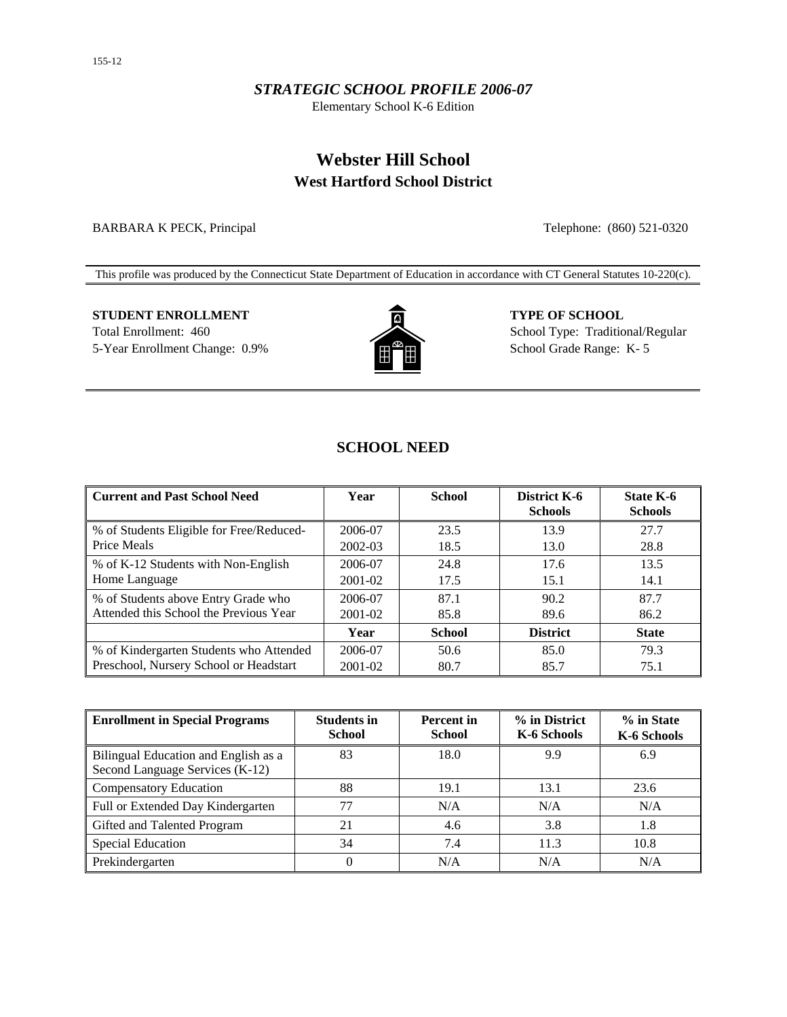#### *STRATEGIC SCHOOL PROFILE 2006-07*

Elementary School K-6 Edition

## **Webster Hill School West Hartford School District**

BARBARA K PECK, Principal Telephone: (860) 521-0320

This profile was produced by the Connecticut State Department of Education in accordance with CT General Statutes 10-220(c).

# **STUDENT ENROLLMENT TYPE OF SCHOOL**

5-Year Enrollment Change: 0.9% School Grade Range: K- 5



Total Enrollment: 460 School Type: Traditional/Regular

## **SCHOOL NEED**

| <b>Current and Past School Need</b>      | Year    | <b>School</b> | District K-6<br><b>Schools</b> | State K-6<br><b>Schools</b> |
|------------------------------------------|---------|---------------|--------------------------------|-----------------------------|
| % of Students Eligible for Free/Reduced- | 2006-07 | 23.5          | 13.9                           | 27.7                        |
| Price Meals                              | 2002-03 | 18.5          | 13.0                           | 28.8                        |
| % of K-12 Students with Non-English      | 2006-07 | 24.8          | 17.6                           | 13.5                        |
| Home Language                            | 2001-02 | 17.5          | 15.1                           | 14.1                        |
| % of Students above Entry Grade who      | 2006-07 | 87.1          | 90.2                           | 87.7                        |
| Attended this School the Previous Year   | 2001-02 | 85.8          | 89.6                           | 86.2                        |
|                                          | Year    | <b>School</b> | <b>District</b>                | <b>State</b>                |
| % of Kindergarten Students who Attended  | 2006-07 | 50.6          | 85.0                           | 79.3                        |
| Preschool, Nursery School or Headstart   | 2001-02 | 80.7          | 85.7                           | 75.1                        |

| <b>Enrollment in Special Programs</b>                                   | <b>Students in</b><br><b>School</b> | <b>Percent</b> in<br><b>School</b> | % in District<br>K-6 Schools | % in State<br>K-6 Schools |
|-------------------------------------------------------------------------|-------------------------------------|------------------------------------|------------------------------|---------------------------|
| Bilingual Education and English as a<br>Second Language Services (K-12) | 83                                  | 18.0                               | 9.9                          | 6.9                       |
| <b>Compensatory Education</b>                                           | 88                                  | 19.1                               | 13.1                         | 23.6                      |
| Full or Extended Day Kindergarten                                       | 77                                  | N/A                                | N/A                          | N/A                       |
| Gifted and Talented Program                                             | 21                                  | 4.6                                | 3.8                          | 1.8                       |
| <b>Special Education</b>                                                | 34                                  | 7.4                                | 11.3                         | 10.8                      |
| Prekindergarten                                                         | $\theta$                            | N/A                                | N/A                          | N/A                       |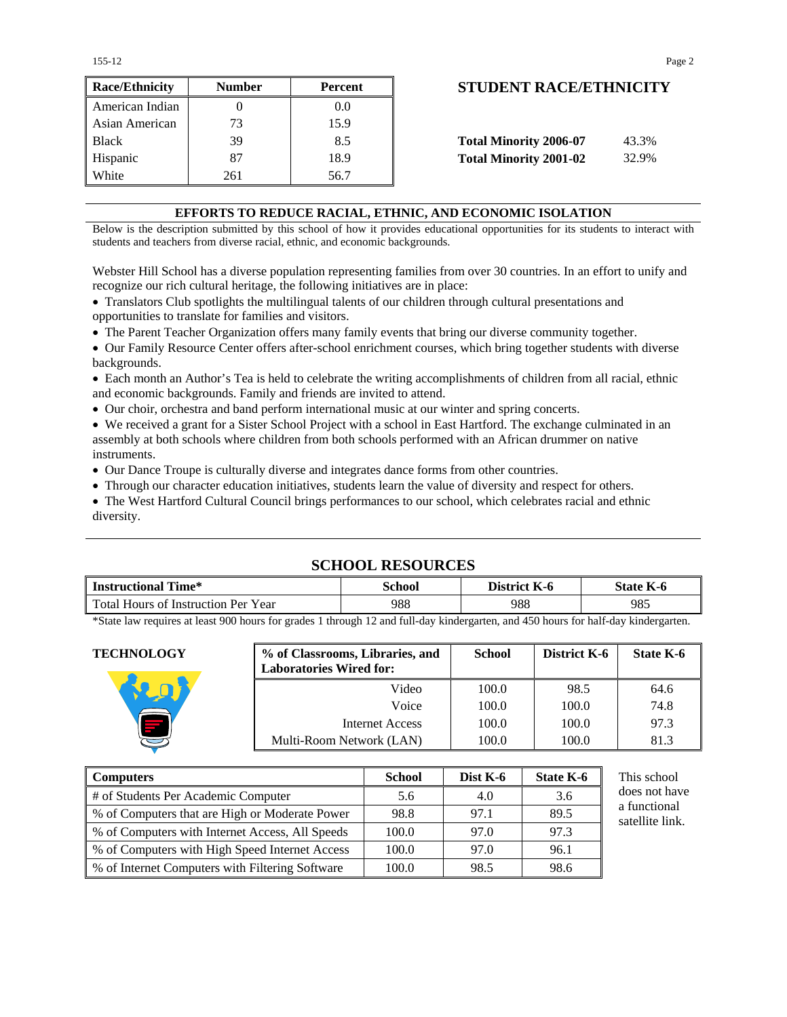| <b>Race/Ethnicity</b> | <b>Number</b> | Percent | <b>STUDENT RACE/ETHNICIT</b>           |
|-----------------------|---------------|---------|----------------------------------------|
| American Indian       |               | 0.0     |                                        |
| Asian American        | 73            | 15.9    |                                        |
| <b>Black</b>          | 39            | 8.5     | <b>Total Minority 2006-07</b><br>43.3% |
| Hispanic              | 87            | 18.9    | <b>Total Minority 2001-02</b><br>32.9% |
| White                 | 261           | 56.7    |                                        |

## **STUDENT RACE/ETHNICITY**

| <b>Total Minority 2006-07</b> | 43.3% |
|-------------------------------|-------|
| <b>Total Minority 2001-02</b> | 32.9% |

#### **EFFORTS TO REDUCE RACIAL, ETHNIC, AND ECONOMIC ISOLATION**

Below is the description submitted by this school of how it provides educational opportunities for its students to interact with students and teachers from diverse racial, ethnic, and economic backgrounds.

Webster Hill School has a diverse population representing families from over 30 countries. In an effort to unify and recognize our rich cultural heritage, the following initiatives are in place:

• Translators Club spotlights the multilingual talents of our children through cultural presentations and opportunities to translate for families and visitors.

• The Parent Teacher Organization offers many family events that bring our diverse community together.

• Our Family Resource Center offers after-school enrichment courses, which bring together students with diverse backgrounds.

• Each month an Author's Tea is held to celebrate the writing accomplishments of children from all racial, ethnic and economic backgrounds. Family and friends are invited to attend.

• Our choir, orchestra and band perform international music at our winter and spring concerts.

• We received a grant for a Sister School Project with a school in East Hartford. The exchange culminated in an assembly at both schools where children from both schools performed with an African drummer on native instruments.

• Our Dance Troupe is culturally diverse and integrates dance forms from other countries.

• Through our character education initiatives, students learn the value of diversity and respect for others.

• The West Hartford Cultural Council brings performances to our school, which celebrates racial and ethnic diversity.

## **SCHOOL RESOURCES**

| <b>Instructional Time*</b>          | School | District K-6 | <b>State K-6</b> |
|-------------------------------------|--------|--------------|------------------|
| Total Hours of Instruction Per Year | 988    | 988          | 985              |

\*State law requires at least 900 hours for grades 1 through 12 and full-day kindergarten, and 450 hours for half-day kindergarten.

| <b>TECHNOLOGY</b>                         | % of Classrooms, Libraries, and<br><b>Laboratories Wired for:</b> | <b>School</b>      | <b>District K-6</b> | State K-6     |
|-------------------------------------------|-------------------------------------------------------------------|--------------------|---------------------|---------------|
|                                           | Video                                                             | 100.0              | 98.5                | 64.6          |
|                                           | Voice                                                             | 100.0              | 100.0               | 74.8          |
|                                           | <b>Internet Access</b>                                            | 100.0              | 100.0               | 97.3          |
|                                           | Multi-Room Network (LAN)                                          | 100.0              | 100.0               | 81.3          |
|                                           |                                                                   |                    |                     |               |
| <b>Computers</b>                          | <b>School</b>                                                     | Dist K-6           | State K-6           | This school   |
| 4. Constructor Dry Association Commission | $\epsilon$ $\epsilon$                                             | $\Lambda$ $\Omega$ | $\Omega$            | does not have |

| Computers                                          | <b>School</b> | Dist $K-6$ | <b>State K-6</b> | This school                     |
|----------------------------------------------------|---------------|------------|------------------|---------------------------------|
| # of Students Per Academic Computer                | 5.6           | 4.0        | 3.6              | does not have                   |
| \, % of Computers that are High or Moderate Power  | 98.8          | 97.1       | 89.5             | a functional<br>satellite link. |
| % of Computers with Internet Access, All Speeds    | 100.0         | 97.0       | 97.3             |                                 |
| % of Computers with High Speed Internet Access     | 100.0         | 97.0       | 96.1             |                                 |
| \, % of Internet Computers with Filtering Software | 100.0         | 98.5       | 98.6             |                                 |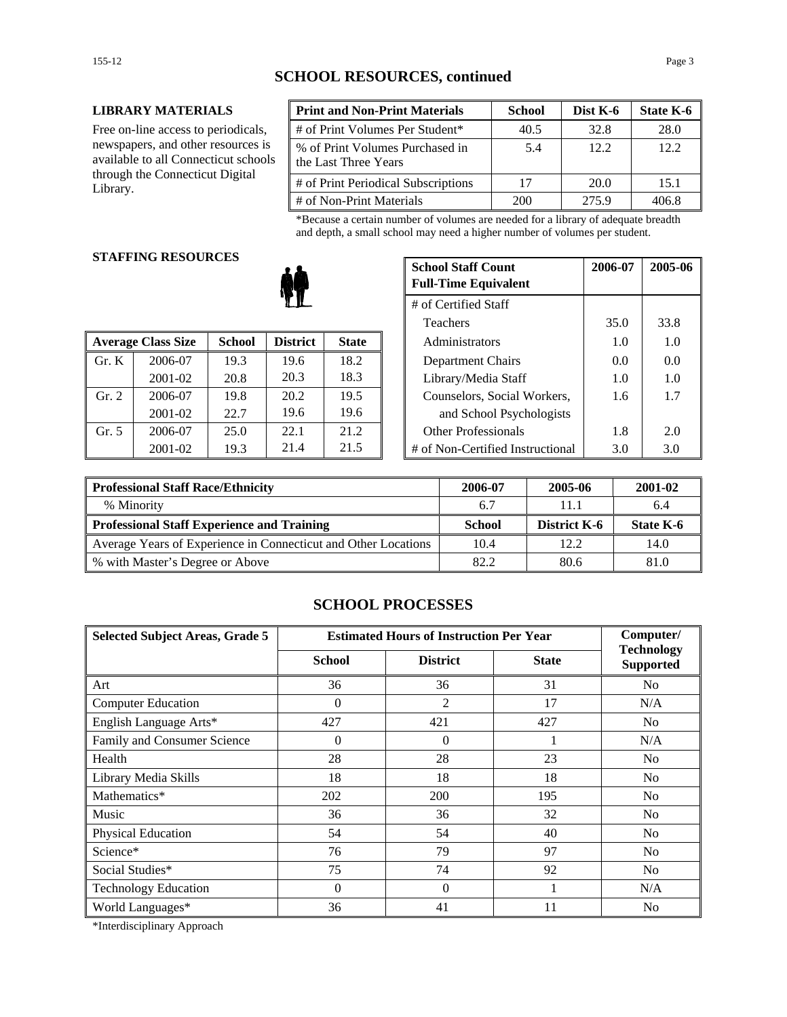#### **LIBRARY MATERIALS**

Free on-line access to periodicals, newspapers, and other resources is available to all Connecticut schools through the Connecticut Digital Library.

| <b>Print and Non-Print Materials</b>                    | <b>School</b> | Dist K-6 | State K-6 |
|---------------------------------------------------------|---------------|----------|-----------|
| # of Print Volumes Per Student*                         | 40.5          | 32.8     | 28.0      |
| % of Print Volumes Purchased in<br>the Last Three Years | 5.4           | 12.2     | 12.2      |
| # of Print Periodical Subscriptions                     | 17            | 20.0     | 15.1      |
| # of Non-Print Materials                                | 200           | 275.9    | 406 X     |

\*Because a certain number of volumes are needed for a library of adequate breadth and depth, a small school may need a higher number of volumes per student.

#### **STAFFING RESOURCES**

|       |                           |               |                 |              | 1 vavno                          |     | JJ.V |
|-------|---------------------------|---------------|-----------------|--------------|----------------------------------|-----|------|
|       | <b>Average Class Size</b> | <b>School</b> | <b>District</b> | <b>State</b> | Administrators                   | 1.0 | 1.0  |
| Gr. K | 2006-07                   | 19.3          | 19.6            | 18.2         | Department Chairs                | 0.0 | 0.0  |
|       | 2001-02                   | 20.8          | 20.3            | 18.3         | Library/Media Staff              | 1.0 | 1.0  |
| Gr. 2 | 2006-07                   | 19.8          | 20.2            | 19.5         | Counselors, Social Workers,      | 1.6 | 1.7  |
|       | 2001-02                   | 22.7          | 19.6            | 19.6         | and School Psychologists         |     |      |
| Gr. 5 | 2006-07                   | 25.0          | 22.1            | 21.2         | <b>Other Professionals</b>       | 1.8 | 2.0  |
|       | 2001-02                   | 19.3          | 21.4            | 21.5         | # of Non-Certified Instructional | 3.0 | 3.0  |

| u neguvnjeg |               | <b>School Staff Count</b><br><b>Full-Time Equivalent</b> | 2006-07      | 2005-06              |                                  |      |      |
|-------------|---------------|----------------------------------------------------------|--------------|----------------------|----------------------------------|------|------|
|             |               |                                                          |              | # of Certified Staff |                                  |      |      |
|             |               |                                                          |              |                      | Teachers                         | 35.0 | 33.8 |
| 'lass Size  | <b>School</b> | <b>District</b>                                          | <b>State</b> |                      | Administrators                   | 1.0  | 1.0  |
| 2006-07     | 19.3          | 19.6                                                     | 18.2         |                      | Department Chairs                | 0.0  | 0.0  |
| 2001-02     | 20.8          | 20.3                                                     | 18.3         | Library/Media Staff  |                                  | 1.0  | 1.0  |
| 2006-07     | 19.8          | 20.2                                                     | 19.5         |                      | Counselors, Social Workers,      | 1.6  | 1.7  |
| 2001-02     | 22.7          | 19.6                                                     | 19.6         |                      | and School Psychologists         |      |      |
| 2006-07     | 25.0          | 22.1                                                     | 21.2         |                      | <b>Other Professionals</b>       | 1.8  | 2.0  |
| 2001-02     | 19.3          | 21.4                                                     | 21.5         |                      | # of Non-Certified Instructional | 3.0  | 3.0  |

| <b>Professional Staff Race/Ethnicity</b>                       | 2006-07 | 2005-06             | 2001-02   |
|----------------------------------------------------------------|---------|---------------------|-----------|
| % Minority                                                     | 6.7     | 11.1                | 6.4       |
| Professional Staff Experience and Training                     | School  | <b>District K-6</b> | State K-6 |
| Average Years of Experience in Connecticut and Other Locations | 10.4    | 12.2.               | 14.0      |
| ∥ % with Master's Degree or Above                              | 82.2    | 80.6                | 81.0      |

#### **SCHOOL PROCESSES**

| <b>Selected Subject Areas, Grade 5</b> | <b>Estimated Hours of Instruction Per Year</b> |                 |              | Computer/                             |
|----------------------------------------|------------------------------------------------|-----------------|--------------|---------------------------------------|
|                                        | <b>School</b>                                  | <b>District</b> | <b>State</b> | <b>Technology</b><br><b>Supported</b> |
| Art                                    | 36                                             | 36              | 31           | No                                    |
| <b>Computer Education</b>              | $\Omega$                                       | 2               | 17           | N/A                                   |
| English Language Arts*                 | 427                                            | 421             | 427          | N <sub>0</sub>                        |
| Family and Consumer Science            | $\theta$                                       | $\Omega$        |              | N/A                                   |
| Health                                 | 28                                             | 28              | 23           | No                                    |
| Library Media Skills                   | 18                                             | 18              | 18           | N <sub>0</sub>                        |
| Mathematics*                           | 202                                            | 200             | 195          | No                                    |
| Music                                  | 36                                             | 36              | 32           | No                                    |
| Physical Education                     | 54                                             | 54              | 40           | No                                    |
| Science*                               | 76                                             | 79              | 97           | N <sub>0</sub>                        |
| Social Studies*                        | 75                                             | 74              | 92           | N <sub>0</sub>                        |
| <b>Technology Education</b>            | $\Omega$                                       | $\Omega$        |              | N/A                                   |
| World Languages*                       | 36                                             | 41              | 11           | N <sub>0</sub>                        |

\*Interdisciplinary Approach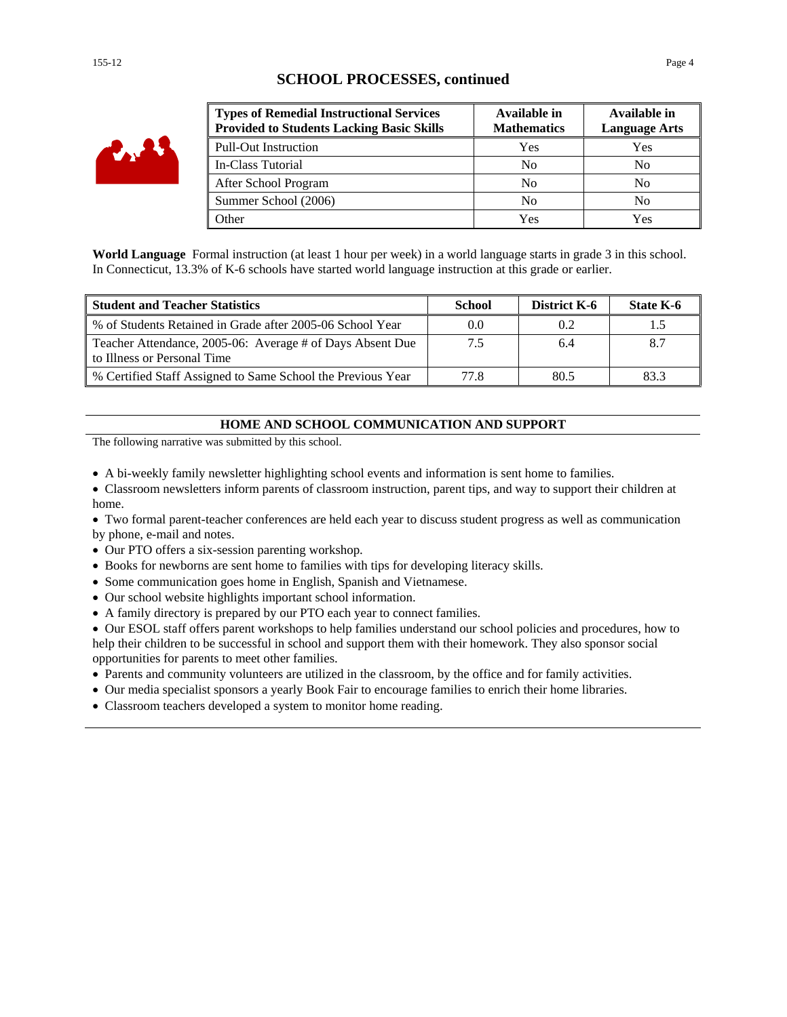## **SCHOOL PROCESSES, continued**



| <b>Types of Remedial Instructional Services</b><br><b>Provided to Students Lacking Basic Skills</b> | Available in<br><b>Mathematics</b> | Available in<br><b>Language Arts</b> |
|-----------------------------------------------------------------------------------------------------|------------------------------------|--------------------------------------|
| <b>Pull-Out Instruction</b>                                                                         | Yes                                | Yes                                  |
| In-Class Tutorial                                                                                   | N <sub>0</sub>                     | No                                   |
| After School Program                                                                                | N <sub>0</sub>                     | No                                   |
| Summer School (2006)                                                                                | No                                 | No                                   |
| Other                                                                                               | Yes                                | Yes                                  |

**World Language** Formal instruction (at least 1 hour per week) in a world language starts in grade 3 in this school. In Connecticut, 13.3% of K-6 schools have started world language instruction at this grade or earlier.

| <b>Student and Teacher Statistics</b>                                                    | <b>School</b> | <b>District K-6</b> | State K-6 |
|------------------------------------------------------------------------------------------|---------------|---------------------|-----------|
| % of Students Retained in Grade after 2005-06 School Year                                | 0.0           | 0.2                 |           |
| Teacher Attendance, 2005-06: Average # of Days Absent Due<br>to Illness or Personal Time | 7.5           | 6.4                 |           |
| % Certified Staff Assigned to Same School the Previous Year                              | 77 R          | 80.5                | 833       |

#### **HOME AND SCHOOL COMMUNICATION AND SUPPORT**

The following narrative was submitted by this school.

- A bi-weekly family newsletter highlighting school events and information is sent home to families.
- Classroom newsletters inform parents of classroom instruction, parent tips, and way to support their children at home.
- Two formal parent-teacher conferences are held each year to discuss student progress as well as communication by phone, e-mail and notes.
- Our PTO offers a six-session parenting workshop.
- Books for newborns are sent home to families with tips for developing literacy skills.
- Some communication goes home in English, Spanish and Vietnamese.
- Our school website highlights important school information.
- A family directory is prepared by our PTO each year to connect families.

• Our ESOL staff offers parent workshops to help families understand our school policies and procedures, how to help their children to be successful in school and support them with their homework. They also sponsor social opportunities for parents to meet other families.

- Parents and community volunteers are utilized in the classroom, by the office and for family activities.
- Our media specialist sponsors a yearly Book Fair to encourage families to enrich their home libraries.
- Classroom teachers developed a system to monitor home reading.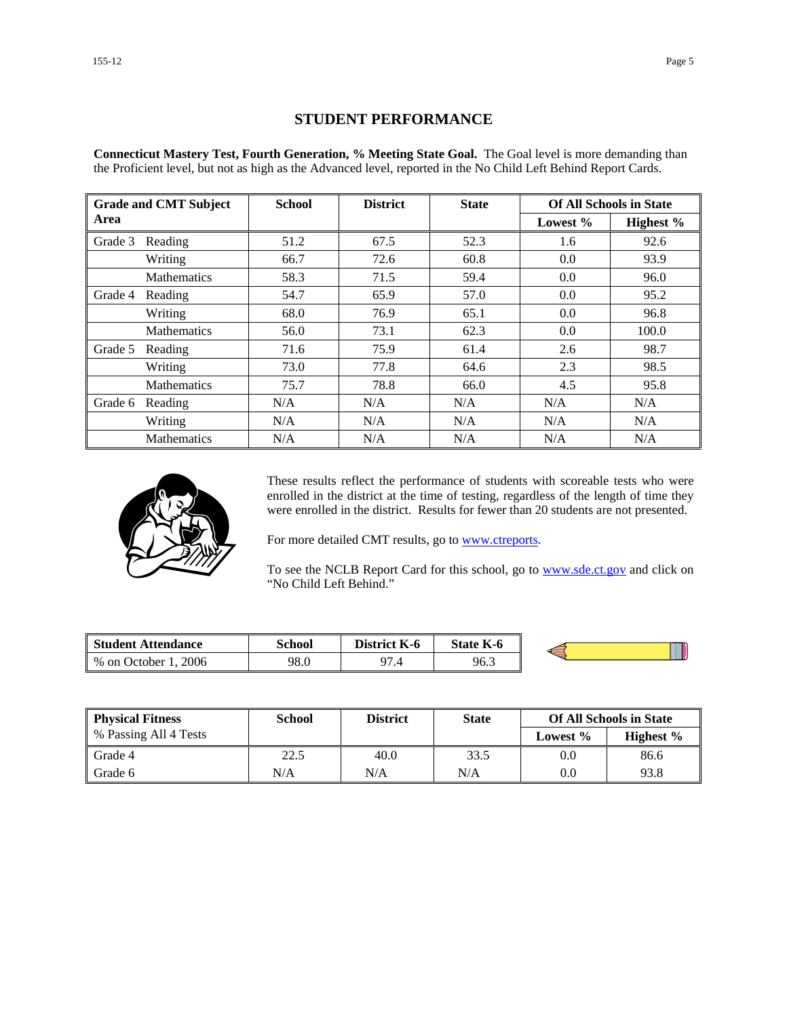#### **STUDENT PERFORMANCE**

**Connecticut Mastery Test, Fourth Generation, % Meeting State Goal.** The Goal level is more demanding than the Proficient level, but not as high as the Advanced level, reported in the No Child Left Behind Report Cards.

| <b>Grade and CMT Subject</b> |                    | <b>School</b><br><b>District</b> |      | <b>State</b> | <b>Of All Schools in State</b> |           |
|------------------------------|--------------------|----------------------------------|------|--------------|--------------------------------|-----------|
| Area                         |                    |                                  |      |              | Lowest %                       | Highest % |
| Grade 3                      | Reading            | 51.2                             | 67.5 | 52.3         | 1.6                            | 92.6      |
|                              | Writing            | 66.7                             | 72.6 | 60.8         | 0.0                            | 93.9      |
|                              | <b>Mathematics</b> | 58.3                             | 71.5 | 59.4         | 0.0                            | 96.0      |
| Grade 4                      | Reading            | 54.7                             | 65.9 | 57.0         | 0.0                            | 95.2      |
|                              | Writing            | 68.0                             | 76.9 | 65.1         | 0.0                            | 96.8      |
|                              | <b>Mathematics</b> | 56.0                             | 73.1 | 62.3         | 0.0                            | 100.0     |
| Grade 5                      | Reading            | 71.6                             | 75.9 | 61.4         | 2.6                            | 98.7      |
|                              | Writing            | 73.0                             | 77.8 | 64.6         | 2.3                            | 98.5      |
|                              | Mathematics        | 75.7                             | 78.8 | 66.0         | 4.5                            | 95.8      |
| Grade 6                      | Reading            | N/A                              | N/A  | N/A          | N/A                            | N/A       |
|                              | Writing            | N/A                              | N/A  | N/A          | N/A                            | N/A       |
|                              | <b>Mathematics</b> | N/A                              | N/A  | N/A          | N/A                            | N/A       |



These results reflect the performance of students with scoreable tests who were enrolled in the district at the time of testing, regardless of the length of time they were enrolled in the district. Results for fewer than 20 students are not presented.

For more detailed CMT results, go to **www.ctreports**.

To see the NCLB Report Card for this school, go to **[www.sde.ct.gov](http://www.sde.ct.gov/)** and click on "No Child Left Behind."

| <b>Student Attendance</b>            | School | <b>District</b><br>K-6 | <b>State K-6</b> |  |
|--------------------------------------|--------|------------------------|------------------|--|
| 2006<br>$%$ on $\sqrt{ }$<br>October | 98.0   | $\Omega$<br>۰.,        | 96.3             |  |

| <b>Physical Fitness</b> | School | <b>District</b> | <b>State</b> |             | <b>Of All Schools in State</b> |
|-------------------------|--------|-----------------|--------------|-------------|--------------------------------|
| % Passing All 4 Tests   |        |                 |              | Lowest $\%$ | Highest $\%$                   |
| Grade 4                 | 22.5   | 40.0            | 33.5         | 0.0         | 86.6                           |
| Grade 6                 | N/A    | N/A             | N/A          | 0.0         | 93.8                           |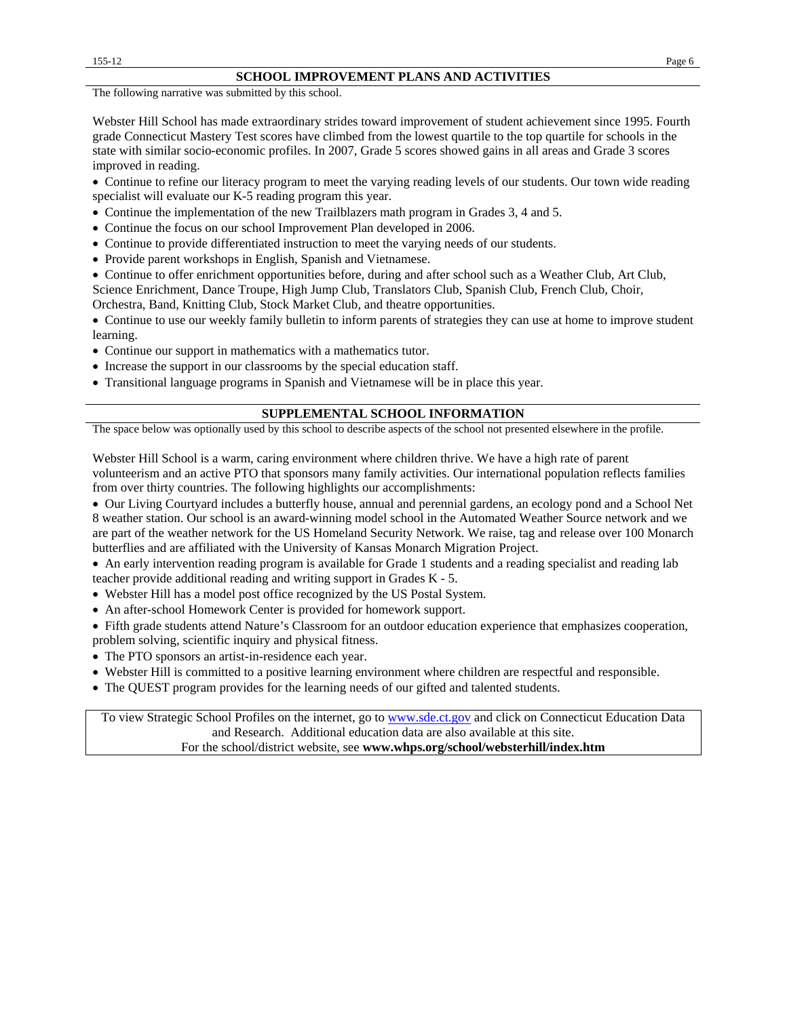The following narrative was submitted by this school.

Webster Hill School has made extraordinary strides toward improvement of student achievement since 1995. Fourth grade Connecticut Mastery Test scores have climbed from the lowest quartile to the top quartile for schools in the state with similar socio-economic profiles. In 2007, Grade 5 scores showed gains in all areas and Grade 3 scores improved in reading.

• Continue to refine our literacy program to meet the varying reading levels of our students. Our town wide reading specialist will evaluate our K-5 reading program this year.

- Continue the implementation of the new Trailblazers math program in Grades 3, 4 and 5.
- Continue the focus on our school Improvement Plan developed in 2006.
- Continue to provide differentiated instruction to meet the varying needs of our students.
- Provide parent workshops in English, Spanish and Vietnamese.

• Continue to offer enrichment opportunities before, during and after school such as a Weather Club, Art Club, Science Enrichment, Dance Troupe, High Jump Club, Translators Club, Spanish Club, French Club, Choir,

Orchestra, Band, Knitting Club, Stock Market Club, and theatre opportunities.

• Continue to use our weekly family bulletin to inform parents of strategies they can use at home to improve student learning.

- Continue our support in mathematics with a mathematics tutor.
- Increase the support in our classrooms by the special education staff.
- Transitional language programs in Spanish and Vietnamese will be in place this year.

#### **SUPPLEMENTAL SCHOOL INFORMATION**

The space below was optionally used by this school to describe aspects of the school not presented elsewhere in the profile.

Webster Hill School is a warm, caring environment where children thrive. We have a high rate of parent volunteerism and an active PTO that sponsors many family activities. Our international population reflects families from over thirty countries. The following highlights our accomplishments:

• Our Living Courtyard includes a butterfly house, annual and perennial gardens, an ecology pond and a School Net 8 weather station. Our school is an award-winning model school in the Automated Weather Source network and we are part of the weather network for the US Homeland Security Network. We raise, tag and release over 100 Monarch butterflies and are affiliated with the University of Kansas Monarch Migration Project.

• An early intervention reading program is available for Grade 1 students and a reading specialist and reading lab teacher provide additional reading and writing support in Grades K - 5.

- Webster Hill has a model post office recognized by the US Postal System.
- An after-school Homework Center is provided for homework support.

• Fifth grade students attend Nature's Classroom for an outdoor education experience that emphasizes cooperation, problem solving, scientific inquiry and physical fitness.

- The PTO sponsors an artist-in-residence each year.
- Webster Hill is committed to a positive learning environment where children are respectful and responsible.
- The QUEST program provides for the learning needs of our gifted and talented students.

To view Strategic School Profiles on the internet, go to [www.sde.ct.gov](http://www.sde.ct.gov/) and click on Connecticut Education Data and Research. Additional education data are also available at this site. For the school/district website, see **www.whps.org/school/websterhill/index.htm**